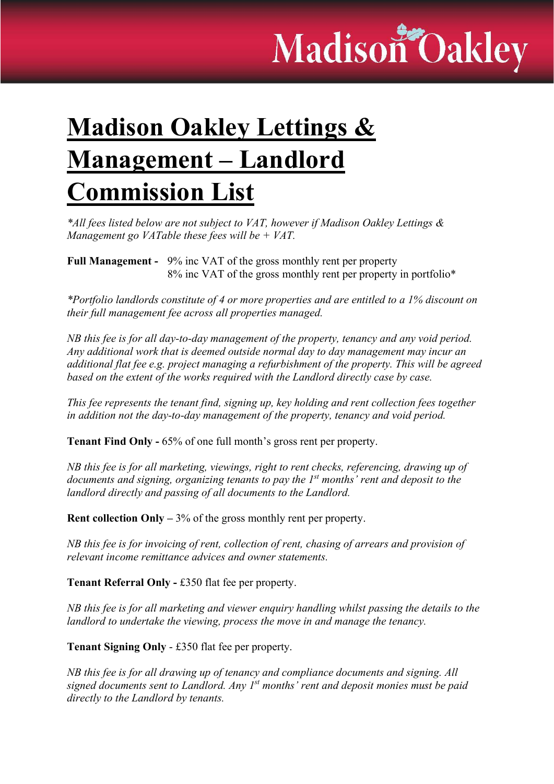## Madison Oakley

## **Madison Oakley Lettings &** Management – Landlord Commission List

\*All fees listed below are not subject to VAT, however if Madison Oakley Lettings & Management go VATable these fees will be  $+$  VAT.

Full Management - 9% inc VAT of the gross monthly rent per property 8% inc VAT of the gross monthly rent per property in portfolio\*

\*Portfolio landlords constitute of 4 or more properties and are entitled to a 1% discount on their full management fee across all properties managed.

NB this fee is for all day-to-day management of the property, tenancy and any void period. Any additional work that is deemed outside normal day to day management may incur an additional flat fee e.g. project managing a refurbishment of the property. This will be agreed based on the extent of the works required with the Landlord directly case by case.

This fee represents the tenant find, signing up, key holding and rent collection fees together in addition not the day-to-day management of the property, tenancy and void period.

Tenant Find Only - 65% of one full month's gross rent per property.

NB this fee is for all marketing, viewings, right to rent checks, referencing, drawing up of documents and signing, organizing tenants to pay the  $1<sup>st</sup>$  months' rent and deposit to the landlord directly and passing of all documents to the Landlord.

**Rent collection Only**  $-3\%$  of the gross monthly rent per property.

NB this fee is for invoicing of rent, collection of rent, chasing of arrears and provision of relevant income remittance advices and owner statements.

Tenant Referral Only - £350 flat fee per property.

NB this fee is for all marketing and viewer enquiry handling whilst passing the details to the landlord to undertake the viewing, process the move in and manage the tenancy.

Tenant Signing Only - £350 flat fee per property.

NB this fee is for all drawing up of tenancy and compliance documents and signing. All signed documents sent to Landlord. Any  $I^{st}$  months' rent and deposit monies must be paid directly to the Landlord by tenants.